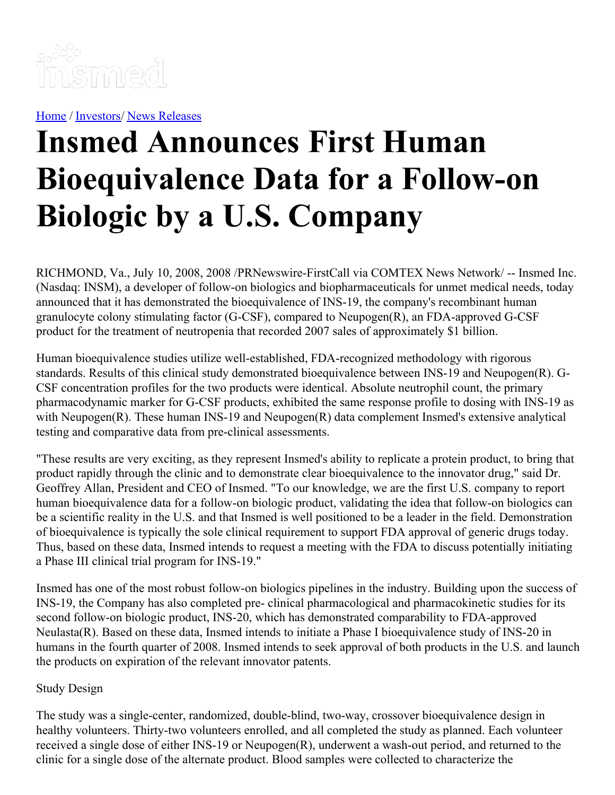

[Home](https://insmed.com/) / [Investors](https://investor.insmed.com/index)/ News [Releases](https://investor.insmed.com/releases)

# **Insmed Announces First Human Bioequivalence Data for a Follow-on Biologic by a U.S. Company**

RICHMOND, Va., July 10, 2008, 2008 /PRNewswire-FirstCall via COMTEX News Network/ -- Insmed Inc. (Nasdaq: INSM), a developer of follow-on biologics and biopharmaceuticals for unmet medical needs, today announced that it has demonstrated the bioequivalence of INS-19, the company's recombinant human granulocyte colony stimulating factor (G-CSF), compared to Neupogen(R), an FDA-approved G-CSF product for the treatment of neutropenia that recorded 2007 sales of approximately \$1 billion.

Human bioequivalence studies utilize well-established, FDA-recognized methodology with rigorous standards. Results of this clinical study demonstrated bioequivalence between INS-19 and Neupogen(R). G-CSF concentration profiles for the two products were identical. Absolute neutrophil count, the primary pharmacodynamic marker for G-CSF products, exhibited the same response profile to dosing with INS-19 as with Neupogen(R). These human INS-19 and Neupogen(R) data complement Insmed's extensive analytical testing and comparative data from pre-clinical assessments.

"These results are very exciting, as they represent Insmed's ability to replicate a protein product, to bring that product rapidly through the clinic and to demonstrate clear bioequivalence to the innovator drug," said Dr. Geoffrey Allan, President and CEO of Insmed. "To our knowledge, we are the first U.S. company to report human bioequivalence data for a follow-on biologic product, validating the idea that follow-on biologics can be a scientific reality in the U.S. and that Insmed is well positioned to be a leader in the field. Demonstration of bioequivalence is typically the sole clinical requirement to support FDA approval of generic drugs today. Thus, based on these data, Insmed intends to request a meeting with the FDA to discuss potentially initiating a Phase III clinical trial program for INS-19."

Insmed has one of the most robust follow-on biologics pipelines in the industry. Building upon the success of INS-19, the Company has also completed pre- clinical pharmacological and pharmacokinetic studies for its second follow-on biologic product, INS-20, which has demonstrated comparability to FDA-approved Neulasta(R). Based on these data, Insmed intends to initiate a Phase I bioequivalence study of INS-20 in humans in the fourth quarter of 2008. Insmed intends to seek approval of both products in the U.S. and launch the products on expiration of the relevant innovator patents.

#### Study Design

The study was a single-center, randomized, double-blind, two-way, crossover bioequivalence design in healthy volunteers. Thirty-two volunteers enrolled, and all completed the study as planned. Each volunteer received a single dose of either INS-19 or Neupogen(R), underwent a wash-out period, and returned to the clinic for a single dose of the alternate product. Blood samples were collected to characterize the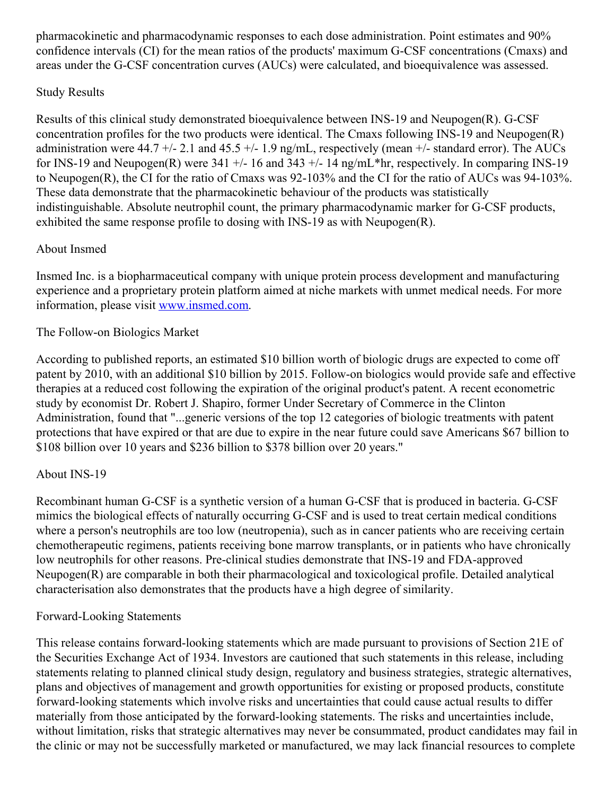pharmacokinetic and pharmacodynamic responses to each dose administration. Point estimates and 90% confidence intervals (CI) for the mean ratios of the products' maximum G-CSF concentrations (Cmaxs) and areas under the G-CSF concentration curves (AUCs) were calculated, and bioequivalence was assessed.

## Study Results

Results of this clinical study demonstrated bioequivalence between INS-19 and Neupogen(R). G-CSF concentration profiles for the two products were identical. The Cmaxs following INS-19 and Neupogen(R) administration were 44.7 +/- 2.1 and 45.5 +/- 1.9 ng/mL, respectively (mean +/- standard error). The AUCs for INS-19 and Neupogen(R) were  $341 +$ -16 and  $343 +$ -14 ng/mL\*hr, respectively. In comparing INS-19 to Neupogen(R), the CI for the ratio of Cmaxs was 92-103% and the CI for the ratio of AUCs was 94-103%. These data demonstrate that the pharmacokinetic behaviour of the products was statistically indistinguishable. Absolute neutrophil count, the primary pharmacodynamic marker for G-CSF products, exhibited the same response profile to dosing with INS-19 as with Neupogen(R).

# About Insmed

Insmed Inc. is a biopharmaceutical company with unique protein process development and manufacturing experience and a proprietary protein platform aimed at niche markets with unmet medical needs. For more information, please visit [www.insmed.com](http://www.insmed.com/).

## The Follow-on Biologics Market

According to published reports, an estimated \$10 billion worth of biologic drugs are expected to come off patent by 2010, with an additional \$10 billion by 2015. Follow-on biologics would provide safe and effective therapies at a reduced cost following the expiration of the original product's patent. A recent econometric study by economist Dr. Robert J. Shapiro, former Under Secretary of Commerce in the Clinton Administration, found that "...generic versions of the top 12 categories of biologic treatments with patent protections that have expired or that are due to expire in the near future could save Americans \$67 billion to \$108 billion over 10 years and \$236 billion to \$378 billion over 20 years."

# About INS-19

Recombinant human G-CSF is a synthetic version of a human G-CSF that is produced in bacteria. G-CSF mimics the biological effects of naturally occurring G-CSF and is used to treat certain medical conditions where a person's neutrophils are too low (neutropenia), such as in cancer patients who are receiving certain chemotherapeutic regimens, patients receiving bone marrow transplants, or in patients who have chronically low neutrophils for other reasons. Pre-clinical studies demonstrate that INS-19 and FDA-approved Neupogen(R) are comparable in both their pharmacological and toxicological profile. Detailed analytical characterisation also demonstrates that the products have a high degree of similarity.

#### Forward-Looking Statements

This release contains forward-looking statements which are made pursuant to provisions of Section 21E of the Securities Exchange Act of 1934. Investors are cautioned that such statements in this release, including statements relating to planned clinical study design, regulatory and business strategies, strategic alternatives, plans and objectives of management and growth opportunities for existing or proposed products, constitute forward-looking statements which involve risks and uncertainties that could cause actual results to differ materially from those anticipated by the forward-looking statements. The risks and uncertainties include, without limitation, risks that strategic alternatives may never be consummated, product candidates may fail in the clinic or may not be successfully marketed or manufactured, we may lack financial resources to complete